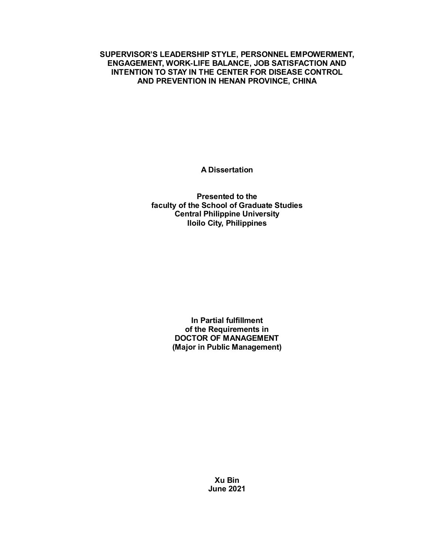**SUPERVISOR'S LEADERSHIP STYLE, PERSONNEL EMPOWERMENT, ENGAGEMENT, WORK-LIFE BALANCE, JOB SATISFACTION AND INTENTION TO STAY IN THE CENTER FOR DISEASE CONTROL AND PREVENTION IN HENAN PROVINCE, CHINA**

**A Dissertation** 

**Presented to the faculty of the School of Graduate Studies Central Philippine University Iloilo City, Philippines**

> **In Partial fulfillment of the Requirements in DOCTOR OF MANAGEMENT (Major in Public Management)**

> > **Xu Bin June 2021**